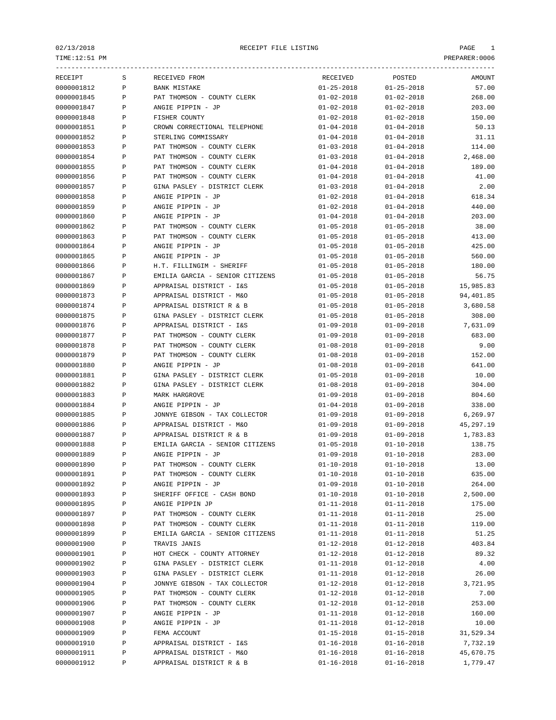TIME:12:51 PM PREPARER:0006

|            |              | ----------------------          |                  |                  |           |
|------------|--------------|---------------------------------|------------------|------------------|-----------|
| RECEIPT    | S            | RECEIVED FROM                   | RECEIVED         | POSTED           | AMOUNT    |
| 0000001812 | $\, {\bf P}$ | <b>BANK MISTAKE</b>             | $01 - 25 - 2018$ | $01 - 25 - 2018$ | 57.00     |
| 0000001845 | $\, {\bf P}$ | PAT THOMSON - COUNTY CLERK      | $01 - 02 - 2018$ | $01 - 02 - 2018$ | 268.00    |
| 0000001847 | Ρ            | ANGIE PIPPIN - JP               | $01 - 02 - 2018$ | $01 - 02 - 2018$ | 203.00    |
| 0000001848 | $\, {\bf P}$ | FISHER COUNTY                   | $01 - 02 - 2018$ | $01 - 02 - 2018$ | 150.00    |
| 0000001851 | Ρ            | CROWN CORRECTIONAL TELEPHONE    | $01 - 04 - 2018$ | $01 - 04 - 2018$ | 50.13     |
| 0000001852 | P            | STERLING COMMISSARY             | $01 - 04 - 2018$ | $01 - 04 - 2018$ | 31.11     |
| 0000001853 | P            | PAT THOMSON - COUNTY CLERK      | $01 - 03 - 2018$ | $01 - 04 - 2018$ | 114.00    |
| 0000001854 | $\, {\bf P}$ | PAT THOMSON - COUNTY CLERK      | $01 - 03 - 2018$ | $01 - 04 - 2018$ | 2,468.00  |
| 0000001855 | $\, {\bf P}$ | PAT THOMSON - COUNTY CLERK      | $01 - 04 - 2018$ | $01 - 04 - 2018$ | 189.00    |
| 0000001856 | P            | PAT THOMSON - COUNTY CLERK      | $01 - 04 - 2018$ | $01 - 04 - 2018$ | 41.00     |
| 0000001857 | Ρ            | GINA PASLEY - DISTRICT CLERK    | $01 - 03 - 2018$ | $01 - 04 - 2018$ | 2.00      |
| 0000001858 | $\, {\bf P}$ | ANGIE PIPPIN - JP               | $01 - 02 - 2018$ | $01 - 04 - 2018$ | 618.34    |
| 0000001859 | $\, {\bf P}$ | ANGIE PIPPIN - JP               | $01 - 02 - 2018$ | $01 - 04 - 2018$ | 440.00    |
| 0000001860 | Ρ            | ANGIE PIPPIN - JP               | $01 - 04 - 2018$ | $01 - 04 - 2018$ | 203.00    |
| 0000001862 | $\, {\bf P}$ | PAT THOMSON - COUNTY CLERK      | $01 - 05 - 2018$ | $01 - 05 - 2018$ | 38.00     |
| 0000001863 | Ρ            | PAT THOMSON - COUNTY CLERK      | $01 - 05 - 2018$ | $01 - 05 - 2018$ | 413.00    |
| 0000001864 | Ρ            | ANGIE PIPPIN - JP               | $01 - 05 - 2018$ | $01 - 05 - 2018$ | 425.00    |
| 0000001865 | P            | ANGIE PIPPIN - JP               | $01 - 05 - 2018$ | $01 - 05 - 2018$ | 560.00    |
| 0000001866 | $\, {\bf P}$ | H.T. FILLINGIM - SHERIFF        | $01 - 05 - 2018$ | $01 - 05 - 2018$ | 180.00    |
| 0000001867 | P            | EMILIA GARCIA - SENIOR CITIZENS | $01 - 05 - 2018$ | $01 - 05 - 2018$ | 56.75     |
| 0000001869 | P            | APPRAISAL DISTRICT - I&S        | $01 - 05 - 2018$ | $01 - 05 - 2018$ | 15,985.83 |
| 0000001873 | P            | APPRAISAL DISTRICT - M&O        | $01 - 05 - 2018$ | $01 - 05 - 2018$ | 94,401.85 |
| 0000001874 | $\, {\bf P}$ | APPRAISAL DISTRICT R & B        | $01 - 05 - 2018$ | $01 - 05 - 2018$ | 3,680.58  |
| 0000001875 | $\, {\bf P}$ | GINA PASLEY - DISTRICT CLERK    | $01 - 05 - 2018$ | $01 - 05 - 2018$ | 308.00    |
|            |              |                                 | $01 - 09 - 2018$ |                  |           |
| 0000001876 | Ρ            | APPRAISAL DISTRICT - I&S        |                  | $01 - 09 - 2018$ | 7,631.09  |
| 0000001877 | $\, {\bf P}$ | PAT THOMSON - COUNTY CLERK      | $01 - 09 - 2018$ | $01 - 09 - 2018$ | 683.00    |
| 0000001878 | Ρ            | PAT THOMSON - COUNTY CLERK      | $01 - 08 - 2018$ | $01 - 09 - 2018$ | 9.00      |
| 0000001879 | P            | PAT THOMSON - COUNTY CLERK      | $01 - 08 - 2018$ | $01 - 09 - 2018$ | 152.00    |
| 0000001880 | $\, {\bf P}$ | ANGIE PIPPIN - JP               | $01 - 08 - 2018$ | $01 - 09 - 2018$ | 641.00    |
| 0000001881 | $\, {\bf P}$ | GINA PASLEY - DISTRICT CLERK    | $01 - 05 - 2018$ | $01 - 09 - 2018$ | 10.00     |
| 0000001882 | $\, {\bf P}$ | GINA PASLEY - DISTRICT CLERK    | $01 - 08 - 2018$ | $01 - 09 - 2018$ | 304.00    |
| 0000001883 | P            | MARK HARGROVE                   | $01 - 09 - 2018$ | $01 - 09 - 2018$ | 804.60    |
| 0000001884 | Ρ            | ANGIE PIPPIN - JP               | $01 - 04 - 2018$ | $01 - 09 - 2018$ | 338.00    |
| 0000001885 | $\, {\bf P}$ | JONNYE GIBSON - TAX COLLECTOR   | $01 - 09 - 2018$ | $01 - 09 - 2018$ | 6,269.97  |
| 0000001886 | $\, {\bf P}$ | APPRAISAL DISTRICT - M&O        | $01 - 09 - 2018$ | $01 - 09 - 2018$ | 45,297.19 |
| 0000001887 | Ρ            | APPRAISAL DISTRICT R & B        | $01 - 09 - 2018$ | $01 - 09 - 2018$ | 1,783.83  |
| 0000001888 | Ρ            | EMILIA GARCIA - SENIOR CITIZENS | $01 - 05 - 2018$ | $01 - 10 - 2018$ | 138.75    |
| 0000001889 | P            | ANGIE PIPPIN - JP               | $01 - 09 - 2018$ | $01 - 10 - 2018$ | 283.00    |
| 0000001890 | Ρ            | PAT THOMSON - COUNTY CLERK      | $01 - 10 - 2018$ | $01 - 10 - 2018$ | 13.00     |
| 0000001891 |              | PAT THOMSON - COUNTY CLERK      | $01 - 10 - 2018$ | $01 - 10 - 2018$ | 635.00    |
| 0000001892 | Ρ            | ANGIE PIPPIN - JP               | $01 - 09 - 2018$ | $01 - 10 - 2018$ | 264.00    |
| 0000001893 | Ρ            | SHERIFF OFFICE - CASH BOND      | $01 - 10 - 2018$ | $01 - 10 - 2018$ | 2,500.00  |
| 0000001895 | Ρ            | ANGIE PIPPIN JP                 | $01 - 11 - 2018$ | $01 - 11 - 2018$ | 175.00    |
| 0000001897 | Ρ            | PAT THOMSON - COUNTY CLERK      | $01 - 11 - 2018$ | $01 - 11 - 2018$ | 25.00     |
| 0000001898 | Ρ            | PAT THOMSON - COUNTY CLERK      | $01 - 11 - 2018$ | $01 - 11 - 2018$ | 119.00    |
| 0000001899 | P            | EMILIA GARCIA - SENIOR CITIZENS | $01 - 11 - 2018$ | $01 - 11 - 2018$ | 51.25     |
| 0000001900 | P            | TRAVIS JANIS                    | $01 - 12 - 2018$ | $01 - 12 - 2018$ | 403.84    |
| 0000001901 | P            | HOT CHECK - COUNTY ATTORNEY     | $01 - 12 - 2018$ | $01 - 12 - 2018$ | 89.32     |
| 0000001902 | Ρ            | GINA PASLEY - DISTRICT CLERK    | $01 - 11 - 2018$ | $01 - 12 - 2018$ | 4.00      |
| 0000001903 | Ρ            | GINA PASLEY - DISTRICT CLERK    | $01 - 11 - 2018$ | $01 - 12 - 2018$ | 26.00     |
| 0000001904 | Ρ            | JONNYE GIBSON - TAX COLLECTOR   | $01 - 12 - 2018$ | $01 - 12 - 2018$ | 3,721.95  |
| 0000001905 | P            | PAT THOMSON - COUNTY CLERK      | $01 - 12 - 2018$ | $01 - 12 - 2018$ | 7.00      |
| 0000001906 | Ρ            | PAT THOMSON - COUNTY CLERK      | $01 - 12 - 2018$ | $01 - 12 - 2018$ | 253.00    |
| 0000001907 | Ρ            | ANGIE PIPPIN - JP               | $01 - 11 - 2018$ | $01 - 12 - 2018$ | 160.00    |
| 0000001908 | Ρ            | ANGIE PIPPIN - JP               | $01 - 11 - 2018$ | $01 - 12 - 2018$ | 10.00     |
| 0000001909 | Ρ            | FEMA ACCOUNT                    | $01 - 15 - 2018$ | $01 - 15 - 2018$ | 31,529.34 |
| 0000001910 | P            | APPRAISAL DISTRICT - I&S        | $01 - 16 - 2018$ | $01 - 16 - 2018$ | 7,732.19  |
| 0000001911 | P            | APPRAISAL DISTRICT - M&O        | $01 - 16 - 2018$ | $01 - 16 - 2018$ | 45,670.75 |
| 0000001912 | Ρ            | APPRAISAL DISTRICT R & B        | $01 - 16 - 2018$ | $01 - 16 - 2018$ | 1,779.47  |
|            |              |                                 |                  |                  |           |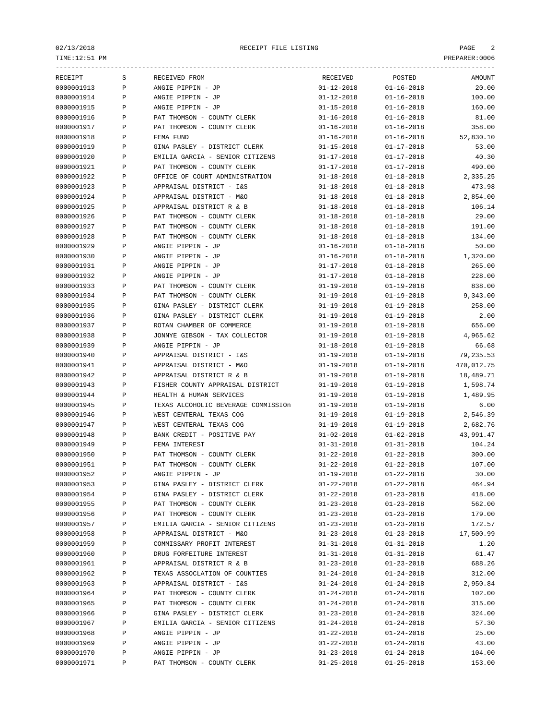TIME:12:51 PM PREPARER:0006

|            |              | -------------------                 |                  |                  |            |
|------------|--------------|-------------------------------------|------------------|------------------|------------|
| RECEIPT    | S            | RECEIVED FROM                       | RECEIVED         | POSTED           | AMOUNT     |
| 0000001913 | $\, {\bf P}$ | ANGIE PIPPIN - JP                   | $01 - 12 - 2018$ | $01 - 16 - 2018$ | 20.00      |
| 0000001914 | $\, {\bf P}$ | ANGIE PIPPIN - JP                   | $01 - 12 - 2018$ | $01 - 16 - 2018$ | 100.00     |
| 0000001915 | Ρ            | ANGIE PIPPIN - JP                   | $01 - 15 - 2018$ | $01 - 16 - 2018$ | 160.00     |
| 0000001916 | $\, {\bf P}$ | PAT THOMSON - COUNTY CLERK          | $01 - 16 - 2018$ | $01 - 16 - 2018$ | 81.00      |
| 0000001917 | P            | PAT THOMSON - COUNTY CLERK          | $01 - 16 - 2018$ | $01 - 16 - 2018$ | 358.00     |
| 0000001918 | P            | FEMA FUND                           | $01 - 16 - 2018$ | $01 - 16 - 2018$ | 52,830.10  |
| 0000001919 | P            | GINA PASLEY - DISTRICT CLERK        | $01 - 15 - 2018$ | $01 - 17 - 2018$ | 53.00      |
| 0000001920 | $\, {\bf P}$ | EMILIA GARCIA - SENIOR CITIZENS     | $01 - 17 - 2018$ | $01 - 17 - 2018$ | 40.30      |
| 0000001921 | $\, {\bf P}$ | PAT THOMSON - COUNTY CLERK          | $01 - 17 - 2018$ | $01 - 17 - 2018$ | 490.00     |
| 0000001922 | $\, {\bf P}$ | OFFICE OF COURT ADMINISTRATION      | $01 - 18 - 2018$ | $01 - 18 - 2018$ | 2,335.25   |
| 0000001923 | $\, {\bf P}$ | APPRAISAL DISTRICT - I&S            | $01 - 18 - 2018$ | $01 - 18 - 2018$ | 473.98     |
| 0000001924 | $\, {\bf P}$ | APPRAISAL DISTRICT - M&O            | $01 - 18 - 2018$ | $01 - 18 - 2018$ | 2,854.00   |
| 0000001925 | $\, {\bf P}$ | APPRAISAL DISTRICT R & B            | $01 - 18 - 2018$ | $01 - 18 - 2018$ | 106.14     |
| 0000001926 | $\, {\bf P}$ | PAT THOMSON - COUNTY CLERK          | $01 - 18 - 2018$ | $01 - 18 - 2018$ | 29.00      |
| 0000001927 | $\, {\bf P}$ | PAT THOMSON - COUNTY CLERK          | $01 - 18 - 2018$ | $01 - 18 - 2018$ | 191.00     |
| 0000001928 | P            | PAT THOMSON - COUNTY CLERK          | $01 - 18 - 2018$ | $01 - 18 - 2018$ | 134.00     |
| 0000001929 | P            | ANGIE PIPPIN - JP                   | $01 - 16 - 2018$ | $01 - 18 - 2018$ | 50.00      |
| 0000001930 | P            | ANGIE PIPPIN - JP                   | $01 - 16 - 2018$ | $01 - 18 - 2018$ | 1,320.00   |
| 0000001931 | $\, {\bf P}$ | ANGIE PIPPIN - JP                   | $01 - 17 - 2018$ | $01 - 18 - 2018$ | 265.00     |
| 0000001932 | $\, {\bf P}$ | ANGIE PIPPIN - JP                   | $01 - 17 - 2018$ | $01 - 18 - 2018$ | 228.00     |
| 0000001933 | Ρ            | PAT THOMSON - COUNTY CLERK          | $01 - 19 - 2018$ | $01 - 19 - 2018$ | 838.00     |
| 0000001934 | P            | PAT THOMSON - COUNTY CLERK          | $01 - 19 - 2018$ | $01 - 19 - 2018$ | 9,343.00   |
| 0000001935 | $\, {\bf P}$ | GINA PASLEY - DISTRICT CLERK        | $01 - 19 - 2018$ | $01 - 19 - 2018$ | 258.00     |
| 0000001936 | $\, {\bf P}$ | GINA PASLEY - DISTRICT CLERK        | $01 - 19 - 2018$ | $01 - 19 - 2018$ | 2.00       |
| 0000001937 | $\, {\bf P}$ | ROTAN CHAMBER OF COMMERCE           | $01 - 19 - 2018$ | $01 - 19 - 2018$ | 656.00     |
| 0000001938 | $\, {\bf P}$ | JONNYE GIBSON - TAX COLLECTOR       | $01 - 19 - 2018$ | $01 - 19 - 2018$ | 4,965.62   |
| 0000001939 | P            | ANGIE PIPPIN - JP                   | $01 - 18 - 2018$ | $01 - 19 - 2018$ | 66.68      |
| 0000001940 | P            | APPRAISAL DISTRICT - I&S            | $01 - 19 - 2018$ | $01 - 19 - 2018$ | 79,235.53  |
| 0000001941 | P            | APPRAISAL DISTRICT - M&O            | $01 - 19 - 2018$ | $01 - 19 - 2018$ | 470,012.75 |
| 0000001942 | $\, {\bf P}$ | APPRAISAL DISTRICT R & B            | $01 - 19 - 2018$ | $01 - 19 - 2018$ | 18,489.71  |
| 0000001943 | $\, {\bf P}$ | FISHER COUNTY APPRAISAL DISTRICT    | $01 - 19 - 2018$ | $01 - 19 - 2018$ | 1,598.74   |
| 0000001944 | P            | HEALTH & HUMAN SERVICES             | $01 - 19 - 2018$ | $01 - 19 - 2018$ | 1,489.95   |
| 0000001945 | $\, {\bf P}$ | TEXAS ALCOHOLIC BEVERAGE COMMISSIOn | $01 - 19 - 2018$ | $01 - 19 - 2018$ | 6.00       |
| 0000001946 | $\, {\bf P}$ | WEST CENTERAL TEXAS COG             | $01 - 19 - 2018$ | $01 - 19 - 2018$ | 2,546.39   |
| 0000001947 | $\, {\bf P}$ | WEST CENTERAL TEXAS COG             | $01 - 19 - 2018$ | $01 - 19 - 2018$ | 2,682.76   |
| 0000001948 | P            | BANK CREDIT - POSITIVE PAY          | $01 - 02 - 2018$ | $01 - 02 - 2018$ | 43,991.47  |
| 0000001949 | Ρ            | FEMA INTEREST                       | $01 - 31 - 2018$ | $01 - 31 - 2018$ | 104.24     |
| 0000001950 | P            | PAT THOMSON - COUNTY CLERK          | $01 - 22 - 2018$ | $01 - 22 - 2018$ | 300.00     |
| 0000001951 | P            | PAT THOMSON - COUNTY CLERK          | $01 - 22 - 2018$ | $01 - 22 - 2018$ | 107.00     |
| 0000001952 | $\, {\bf P}$ | ANGIE PIPPIN - JP                   | $01 - 19 - 2018$ | $01 - 22 - 2018$ | 30.00      |
| 0000001953 | Ρ            | GINA PASLEY - DISTRICT CLERK        | $01 - 22 - 2018$ | $01 - 22 - 2018$ | 464.94     |
| 0000001954 | Ρ            | GINA PASLEY - DISTRICT CLERK        | $01 - 22 - 2018$ | $01 - 23 - 2018$ | 418.00     |
| 0000001955 | Ρ            | PAT THOMSON - COUNTY CLERK          | $01 - 23 - 2018$ | $01 - 23 - 2018$ | 562.00     |
| 0000001956 | Ρ            | PAT THOMSON - COUNTY CLERK          | $01 - 23 - 2018$ | $01 - 23 - 2018$ | 179.00     |
| 0000001957 | $\, {\bf P}$ | EMILIA GARCIA - SENIOR CITIZENS     | $01 - 23 - 2018$ | $01 - 23 - 2018$ | 172.57     |
| 0000001958 | $\, {\bf P}$ | APPRAISAL DISTRICT - M&O            | $01 - 23 - 2018$ | $01 - 23 - 2018$ | 17,500.99  |
| 0000001959 | $\, {\bf P}$ | COMMISSARY PROFIT INTEREST          | $01 - 31 - 2018$ | $01 - 31 - 2018$ | 1.20       |
| 0000001960 | $\, {\bf P}$ | DRUG FORFEITURE INTEREST            | $01 - 31 - 2018$ | $01 - 31 - 2018$ | 61.47      |
| 0000001961 | $\, {\bf P}$ | APPRAISAL DISTRICT R & B            | $01 - 23 - 2018$ | $01 - 23 - 2018$ | 688.26     |
| 0000001962 | $\, {\bf P}$ | TEXAS ASSOCLATION OF COUNTIES       | $01 - 24 - 2018$ | $01 - 24 - 2018$ | 312.00     |
| 0000001963 | Ρ            | APPRAISAL DISTRICT - I&S            | $01 - 24 - 2018$ | $01 - 24 - 2018$ | 2,950.84   |
| 0000001964 | $\, {\bf P}$ | PAT THOMSON - COUNTY CLERK          | $01 - 24 - 2018$ | $01 - 24 - 2018$ | 102.00     |
| 0000001965 | Ρ            | PAT THOMSON - COUNTY CLERK          | $01 - 24 - 2018$ | $01 - 24 - 2018$ | 315.00     |
| 0000001966 | Ρ            | GINA PASLEY - DISTRICT CLERK        | $01 - 23 - 2018$ | $01 - 24 - 2018$ | 324.00     |
| 0000001967 | Ρ            | EMILIA GARCIA - SENIOR CITIZENS     | $01 - 24 - 2018$ | $01 - 24 - 2018$ | 57.30      |
| 0000001968 | $\, {\bf P}$ | ANGIE PIPPIN - JP                   | $01 - 22 - 2018$ | $01 - 24 - 2018$ | 25.00      |
| 0000001969 | $\, {\bf P}$ | ANGIE PIPPIN - JP                   | $01 - 22 - 2018$ | $01 - 24 - 2018$ | 43.00      |
| 0000001970 | $\, {\bf P}$ | ANGIE PIPPIN - JP                   | $01 - 23 - 2018$ | $01 - 24 - 2018$ | 104.00     |
| 0000001971 | $\, {\bf P}$ | PAT THOMSON - COUNTY CLERK          | $01 - 25 - 2018$ | $01 - 25 - 2018$ | 153.00     |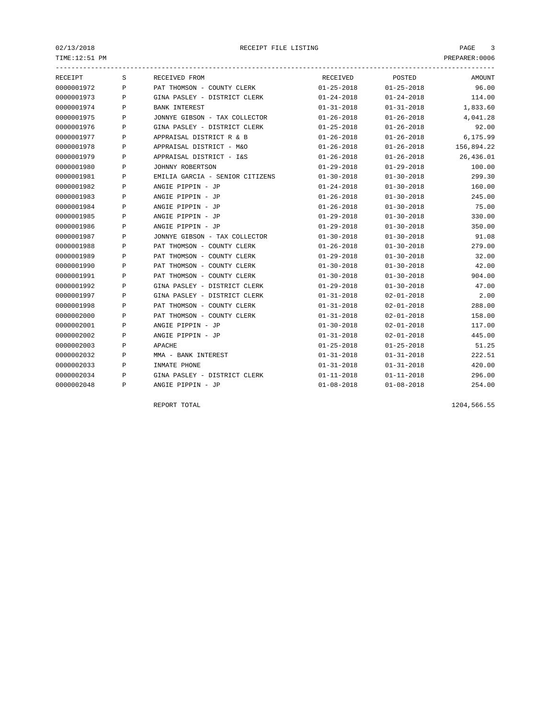$\texttt{PREPARENT:0006} \begin{minipage}{0.9\linewidth} \texttt{PREPARENT:0006} \end{minipage}$ 

| RECEIPT    | S            | RECEIVED FROM                   | RECEIVED         | POSTED           | AMOUNT     |
|------------|--------------|---------------------------------|------------------|------------------|------------|
| 0000001972 | $\mathbf{P}$ | PAT THOMSON - COUNTY CLERK      | $01 - 25 - 2018$ | $01 - 25 - 2018$ | 96.00      |
| 0000001973 | P            | GINA PASLEY - DISTRICT CLERK    | $01 - 24 - 2018$ | $01 - 24 - 2018$ | 114.00     |
| 0000001974 | P            | <b>BANK INTEREST</b>            | $01 - 31 - 2018$ | $01 - 31 - 2018$ | 1,833.60   |
| 0000001975 | P            | JONNYE GIBSON - TAX COLLECTOR   | $01 - 26 - 2018$ | $01 - 26 - 2018$ | 4,041.28   |
| 0000001976 | P            | GINA PASLEY - DISTRICT CLERK    | $01 - 25 - 2018$ | $01 - 26 - 2018$ | 92.00      |
| 0000001977 | P            | APPRAISAL DISTRICT R & B        | $01 - 26 - 2018$ | $01 - 26 - 2018$ | 6,175.99   |
| 0000001978 | P            | APPRAISAL DISTRICT - M&O        | $01 - 26 - 2018$ | $01 - 26 - 2018$ | 156,894.22 |
| 0000001979 | P            | APPRAISAL DISTRICT - I&S        | $01 - 26 - 2018$ | $01 - 26 - 2018$ | 26,436.01  |
| 0000001980 | Ρ            | JOHNNY ROBERTSON                | $01 - 29 - 2018$ | $01 - 29 - 2018$ | 100.00     |
| 0000001981 | Ρ            | EMILIA GARCIA - SENIOR CITIZENS | $01 - 30 - 2018$ | $01 - 30 - 2018$ | 299.30     |
| 0000001982 | P            | ANGIE PIPPIN - JP               | $01 - 24 - 2018$ | $01 - 30 - 2018$ | 160.00     |
| 0000001983 | P            | ANGIE PIPPIN - JP               | $01 - 26 - 2018$ | $01 - 30 - 2018$ | 245.00     |
| 0000001984 | P            | ANGIE PIPPIN - JP               | $01 - 26 - 2018$ | $01 - 30 - 2018$ | 75.00      |
| 0000001985 | P            | ANGIE PIPPIN - JP               | $01 - 29 - 2018$ | $01 - 30 - 2018$ | 330.00     |
| 0000001986 | P            | ANGIE PIPPIN - JP               | $01 - 29 - 2018$ | $01 - 30 - 2018$ | 350.00     |
| 0000001987 | P            | JONNYE GIBSON - TAX COLLECTOR   | $01 - 30 - 2018$ | $01 - 30 - 2018$ | 91.08      |
| 0000001988 | P            | PAT THOMSON - COUNTY CLERK      | $01 - 26 - 2018$ | $01 - 30 - 2018$ | 279.00     |
| 0000001989 | P            | PAT THOMSON - COUNTY CLERK      | $01 - 29 - 2018$ | $01 - 30 - 2018$ | 32.00      |
| 0000001990 | P            | PAT THOMSON - COUNTY CLERK      | $01 - 30 - 2018$ | $01 - 30 - 2018$ | 42.00      |
| 0000001991 | P            | PAT THOMSON - COUNTY CLERK      | $01 - 30 - 2018$ | $01 - 30 - 2018$ | 904.00     |
| 0000001992 | P            | GINA PASLEY - DISTRICT CLERK    | $01 - 29 - 2018$ | $01 - 30 - 2018$ | 47.00      |
| 0000001997 | P            | GINA PASLEY - DISTRICT CLERK    | $01 - 31 - 2018$ | $02 - 01 - 2018$ | 2.00       |
| 0000001998 | P            | PAT THOMSON - COUNTY CLERK      | $01 - 31 - 2018$ | $02 - 01 - 2018$ | 288.00     |
| 0000002000 | P            | PAT THOMSON - COUNTY CLERK      | $01 - 31 - 2018$ | $02 - 01 - 2018$ | 158.00     |
| 0000002001 | Ρ            | ANGIE PIPPIN - JP               | $01 - 30 - 2018$ | $02 - 01 - 2018$ | 117.00     |
| 0000002002 | P            | ANGIE PIPPIN - JP               | $01 - 31 - 2018$ | $02 - 01 - 2018$ | 445.00     |
| 0000002003 | P            | APACHE                          | $01 - 25 - 2018$ | $01 - 25 - 2018$ | 51.25      |
| 0000002032 | $\mathbf{P}$ | MMA - BANK INTEREST             | $01 - 31 - 2018$ | $01 - 31 - 2018$ | 222.51     |
| 0000002033 | P            | INMATE PHONE                    | $01 - 31 - 2018$ | $01 - 31 - 2018$ | 420.00     |
| 0000002034 | P            | GINA PASLEY - DISTRICT CLERK    | $01 - 11 - 2018$ | $01 - 11 - 2018$ | 296.00     |
| 0000002048 | Ρ            | ANGIE PIPPIN - JP               | $01 - 08 - 2018$ | $01 - 08 - 2018$ | 254.00     |
|            |              |                                 |                  |                  |            |

REPORT TOTAL 1204,566.55